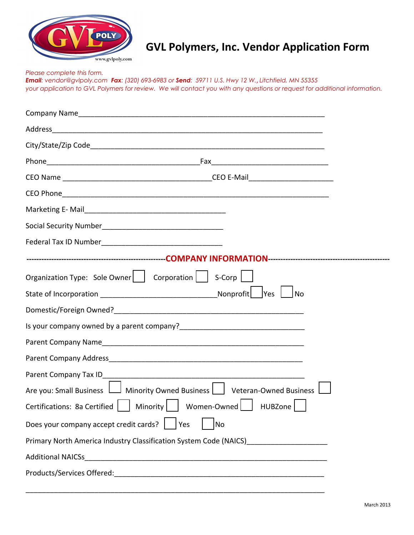

## **GVL Polymers, Inc. Vendor Application Form**

*Please complete this form. Email: vendor@gvlpoly.com Fax: (320) 693-6983 or Send: 59711 U.S. Hwy 12 W.*, *Litchfield, MN 55355 your application to GVL Polymers for review. We will contact you with any questions or request for additional information.* 

| Organization Type: Sole Owner     Corporation     S-Corp                          |
|-----------------------------------------------------------------------------------|
| <b>No</b>                                                                         |
|                                                                                   |
|                                                                                   |
|                                                                                   |
|                                                                                   |
|                                                                                   |
| Are you: Small Business   Minority Owned Business   Veteran-Owned Business        |
| Certifications: 8a Certified     Minority     Women-Owned  <br>HUBZone            |
| Does your company accept credit cards?<br>  Yes<br>No                             |
| Primary North America Industry Classification System Code (NAICS)________________ |
| <b>Additional NAICSs</b>                                                          |
|                                                                                   |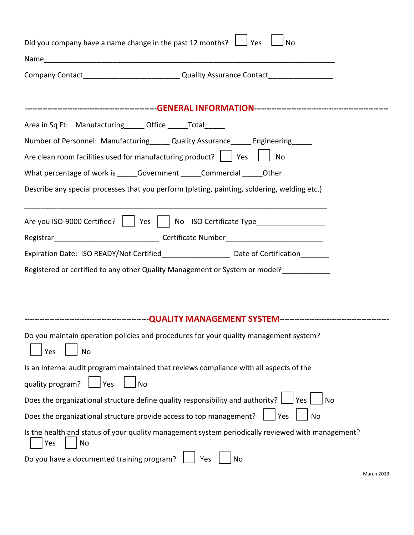| Did you company have a name change in the past 12 months? $\Box$ Yes<br><b>No</b>                                                                                                     |
|---------------------------------------------------------------------------------------------------------------------------------------------------------------------------------------|
|                                                                                                                                                                                       |
|                                                                                                                                                                                       |
|                                                                                                                                                                                       |
| Area in Sq Ft: Manufacturing ______ Office ______ Total                                                                                                                               |
| Number of Personnel: Manufacturing______ Quality Assurance______ Engineering_____<br>Are clean room facilities used for manufacturing product? $\vert \ \vert$ Yes $\vert \ \vert$ No |
| What percentage of work is Government Commercial Other                                                                                                                                |
| Describe any special processes that you perform (plating, painting, soldering, welding etc.)                                                                                          |
| Are you ISO-9000 Certified?     Yes     No ISO Certificate Type_________________                                                                                                      |
|                                                                                                                                                                                       |
| Expiration Date: ISO READY/Not Certified_____________________ Date of Certification_______                                                                                            |
| Registered or certified to any other Quality Management or System or model?                                                                                                           |
|                                                                                                                                                                                       |
|                                                                                                                                                                                       |
| Do you maintain operation policies and procedures for your quality management system?<br>Yes<br><b>No</b>                                                                             |
| Is an internal audit program maintained that reviews compliance with all aspects of the                                                                                               |
| quality program?<br>Yes<br><b>No</b>                                                                                                                                                  |
| Does the organizational structure define quality responsibility and authority?<br>Yes<br><b>No</b>                                                                                    |
| Does the organizational structure provide access to top management?<br>No<br>Yes                                                                                                      |
| Is the health and status of your quality management system periodically reviewed with management?<br>Yes<br>No                                                                        |
| Do you have a documented training program?<br>Yes<br>No                                                                                                                               |
| <b>March 2013</b>                                                                                                                                                                     |